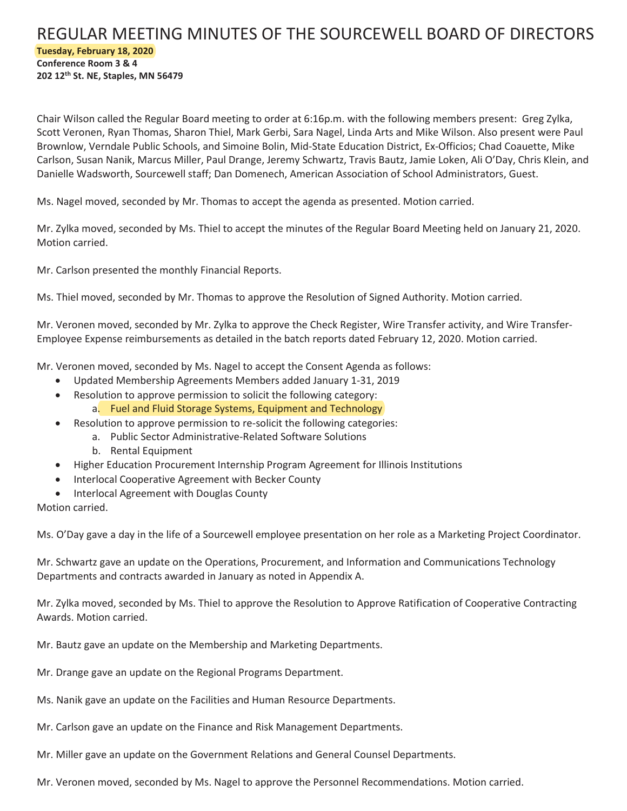## REGULAR MEETING MINUTES OF THE SOURCEWELL BOARD OF DIRECTORS **Tuesday, February 18, 2020 Conference Room 3 & 4 202 12th St. NE, Staples, MN 56479**

Chair Wilson called the Regular Board meeting to order at 6:16p.m. with the following members present: Greg Zylka, Scott Veronen, Ryan Thomas, Sharon Thiel, Mark Gerbi, Sara Nagel, Linda Arts and Mike Wilson. Also present were Paul Brownlow, Verndale Public Schools, and Simoine Bolin, Mid-State Education District, Ex-Officios; Chad Coauette, Mike Carlson, Susan Nanik, Marcus Miller, Paul Drange, Jeremy Schwartz, Travis Bautz, Jamie Loken, Ali O'Day, Chris Klein, and Danielle Wadsworth, Sourcewell staff; Dan Domenech, American Association of School Administrators, Guest.

Ms. Nagel moved, seconded by Mr. Thomas to accept the agenda as presented. Motion carried.

Mr. Zylka moved, seconded by Ms. Thiel to accept the minutes of the Regular Board Meeting held on January 21, 2020. Motion carried.

Mr. Carlson presented the monthly Financial Reports.

Ms. Thiel moved, seconded by Mr. Thomas to approve the Resolution of Signed Authority. Motion carried.

Mr. Veronen moved, seconded by Mr. Zylka to approve the Check Register, Wire Transfer activity, and Wire Transfer-Employee Expense reimbursements as detailed in the batch reports dated February 12, 2020. Motion carried.

Mr. Veronen moved, seconded by Ms. Nagel to accept the Consent Agenda as follows:

- x Updated Membership Agreements Members added January 1-31, 2019
- Resolution to approve permission to solicit the following category: a. Fuel and Fluid Storage Systems, Equipment and Technology
- **•** Resolution to approve permission to re-solicit the following categories:
	- a. Public Sector Administrative-Related Software Solutions
	- b. Rental Equipment
- x Higher Education Procurement Internship Program Agreement for Illinois Institutions
- Interlocal Cooperative Agreement with Becker County
- Interlocal Agreement with Douglas County

Motion carried.

Ms. O'Day gave a day in the life of a Sourcewell employee presentation on her role as a Marketing Project Coordinator.

Mr. Schwartz gave an update on the Operations, Procurement, and Information and Communications Technology Departments and contracts awarded in January as noted in Appendix A.

Mr. Zylka moved, seconded by Ms. Thiel to approve the Resolution to Approve Ratification of Cooperative Contracting Awards. Motion carried.

Mr. Bautz gave an update on the Membership and Marketing Departments.

Mr. Drange gave an update on the Regional Programs Department.

Ms. Nanik gave an update on the Facilities and Human Resource Departments.

Mr. Carlson gave an update on the Finance and Risk Management Departments.

Mr. Miller gave an update on the Government Relations and General Counsel Departments.

Mr. Veronen moved, seconded by Ms. Nagel to approve the Personnel Recommendations. Motion carried.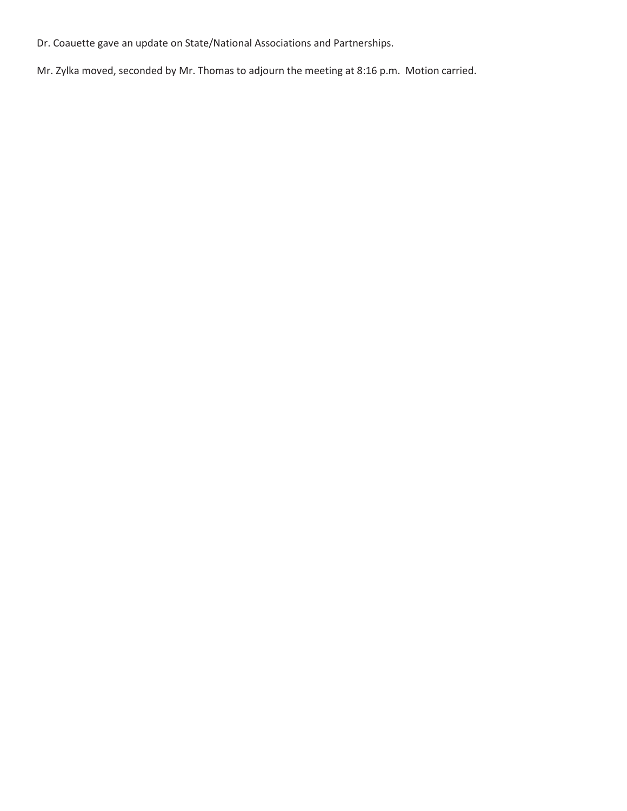Dr. Coauette gave an update on State/National Associations and Partnerships.

Mr. Zylka moved, seconded by Mr. Thomas to adjourn the meeting at 8:16 p.m. Motion carried.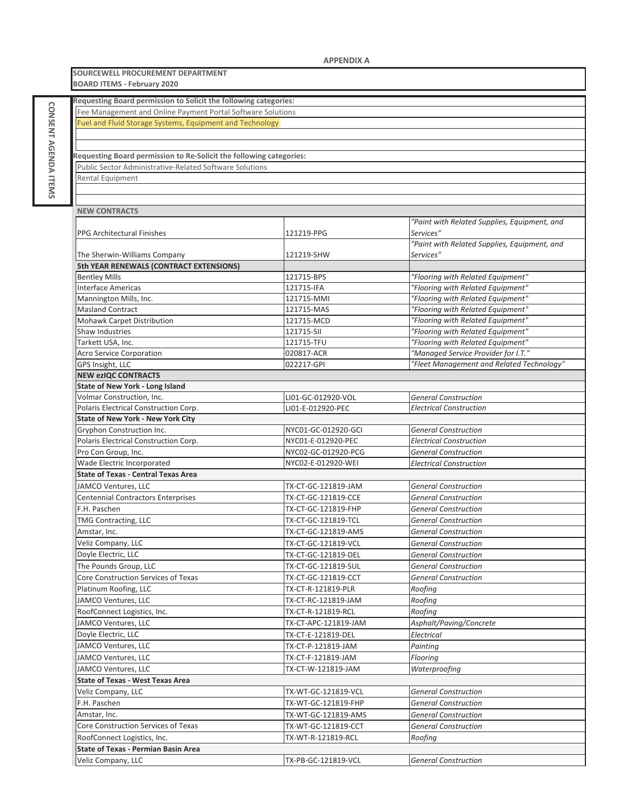**SOURCEWELL PROCUREMENT DEPARTMENT BOARD ITEMS** - February 2020

| Requesting Board permission to Solicit the following categories:    |                      |                                              |
|---------------------------------------------------------------------|----------------------|----------------------------------------------|
| Fee Management and Online Payment Portal Software Solutions         |                      |                                              |
| Fuel and Fluid Storage Systems, Equipment and Technology            |                      |                                              |
|                                                                     |                      |                                              |
|                                                                     |                      |                                              |
| Requesting Board permission to Re-Solicit the following categories: |                      |                                              |
| <b>Public Sector Administrative-Related Software Solutions</b>      |                      |                                              |
| Rental Equipment                                                    |                      |                                              |
|                                                                     |                      |                                              |
|                                                                     |                      |                                              |
| <b>NEW CONTRACTS</b>                                                |                      |                                              |
|                                                                     |                      | "Paint with Related Supplies, Equipment, and |
| <b>PPG Architectural Finishes</b>                                   | 121219-PPG           | Services"                                    |
|                                                                     |                      | "Paint with Related Supplies, Equipment, and |
| The Sherwin-Williams Company                                        | 121219-SHW           | Services"                                    |
| 5th YEAR RENEWALS (CONTRACT EXTENSIONS)                             |                      |                                              |
| <b>Bentley Mills</b>                                                | 121715-BPS           | "Flooring with Related Equipment"            |
| <b>Interface Americas</b>                                           | 121715-IFA           | "Flooring with Related Equipment"            |
| Mannington Mills, Inc.                                              | 121715-MMI           | "Flooring with Related Equipment"            |
| <b>Masland Contract</b>                                             | 121715-MAS           | "Flooring with Related Equipment"            |
| Mohawk Carpet Distribution                                          | 121715-MCD           | "Flooring with Related Equipment"            |
| Shaw Industries                                                     | 121715-SII           | "Flooring with Related Equipment"            |
| Tarkett USA, Inc.                                                   | 121715-TFU           | "Flooring with Related Equipment"            |
| <b>Acro Service Corporation</b>                                     | 020817-ACR           | "Managed Service Provider for I.T."          |
| GPS Insight, LLC                                                    | 022217-GPI           | "Fleet Management and Related Technology"    |
| <b>NEW ezIQC CONTRACTS</b>                                          |                      |                                              |
| <b>State of New York - Long Island</b>                              |                      |                                              |
| Volmar Construction, Inc.                                           | LI01-GC-012920-VOL   | <b>General Construction</b>                  |
| Polaris Electrical Construction Corp.                               | LI01-E-012920-PEC    | <b>Electrical Construction</b>               |
| <b>State of New York - New York City</b>                            |                      |                                              |
| Gryphon Construction Inc.                                           | NYC01-GC-012920-GCI  | <b>General Construction</b>                  |
| Polaris Electrical Construction Corp.                               | NYC01-E-012920-PEC   | <b>Electrical Construction</b>               |
| Pro Con Group, Inc.                                                 | NYC02-GC-012920-PCG  | <b>General Construction</b>                  |
| Wade Electric Incorporated                                          | NYC02-E-012920-WEI   | <b>Electrical Construction</b>               |
| <b>State of Texas - Central Texas Area</b>                          |                      |                                              |
| JAMCO Ventures, LLC                                                 | TX-CT-GC-121819-JAM  | <b>General Construction</b>                  |
| <b>Centennial Contractors Enterprises</b>                           | TX-CT-GC-121819-CCE  | <b>General Construction</b>                  |
| F.H. Paschen                                                        | TX-CT-GC-121819-FHP  | <b>General Construction</b>                  |
| TMG Contracting, LLC                                                | TX-CT-GC-121819-TCL  | <b>General Construction</b>                  |
| Amstar, Inc.                                                        | TX-CT-GC-121819-AMS  | <b>General Construction</b>                  |
| Veliz Company, LLC                                                  | TX-CT-GC-121819-VCL  | <b>General Construction</b>                  |
| Doyle Electric, LLC                                                 | TX-CT-GC-121819-DEL  | <b>General Construction</b>                  |
| The Pounds Group, LLC                                               | TX-CT-GC-121819-SUL  | <b>General Construction</b>                  |
| Core Construction Services of Texas                                 | TX-CT-GC-121819-CCT  | <b>General Construction</b>                  |
| Platinum Roofing, LLC                                               | TX-CT-R-121819-PLR   | Roofing                                      |
| JAMCO Ventures, LLC                                                 | TX-CT-RC-121819-JAM  | Roofing                                      |
| RoofConnect Logistics, Inc.                                         | TX-CT-R-121819-RCL   | Roofing                                      |
| JAMCO Ventures, LLC                                                 | TX-CT-APC-121819-JAM | Asphalt/Paving/Concrete                      |
| Doyle Electric, LLC                                                 | TX-CT-E-121819-DEL   | Electrical                                   |
|                                                                     |                      | Painting                                     |
| JAMCO Ventures, LLC<br>JAMCO Ventures, LLC                          | TX-CT-P-121819-JAM   |                                              |
|                                                                     | TX-CT-F-121819-JAM   | Flooring                                     |
| JAMCO Ventures, LLC                                                 | TX-CT-W-121819-JAM   | Waterproofing                                |
| <b>State of Texas - West Texas Area</b>                             |                      |                                              |
| Veliz Company, LLC                                                  | TX-WT-GC-121819-VCL  | <b>General Construction</b>                  |
| F.H. Paschen                                                        | TX-WT-GC-121819-FHP  | <b>General Construction</b>                  |
| Amstar, Inc.                                                        | TX-WT-GC-121819-AMS  | <b>General Construction</b>                  |
| Core Construction Services of Texas                                 | TX-WT-GC-121819-CCT  | <b>General Construction</b>                  |
| RoofConnect Logistics, Inc.                                         | TX-WT-R-121819-RCL   | Roofing                                      |
| <b>State of Texas - Permian Basin Area</b>                          |                      |                                              |
| Veliz Company, LLC                                                  | TX-PB-GC-121819-VCL  | <b>General Construction</b>                  |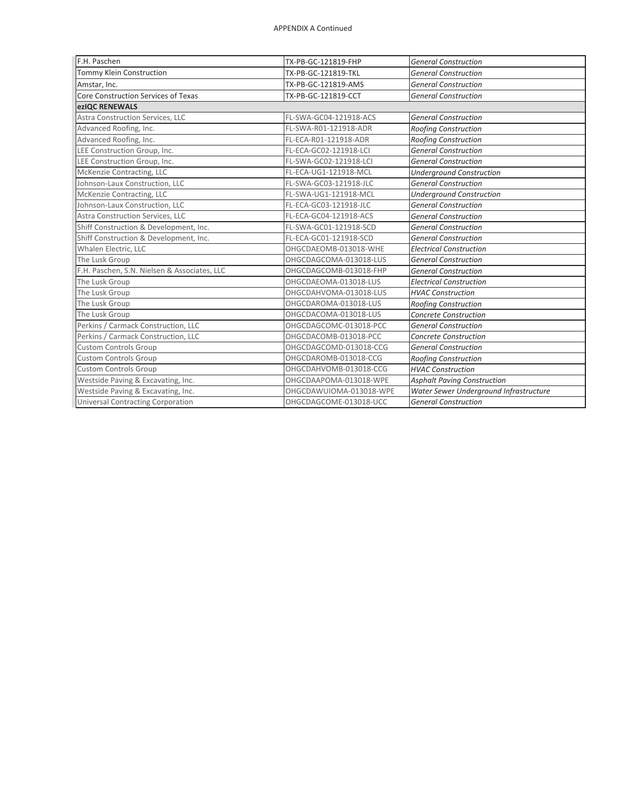| F.H. Paschen                                 | TX-PB-GC-121819-FHP<br><b>General Construction</b> |                                        |  |  |
|----------------------------------------------|----------------------------------------------------|----------------------------------------|--|--|
| Tommy Klein Construction                     | TX-PB-GC-121819-TKL                                | <b>General Construction</b>            |  |  |
| Amstar, Inc.                                 | TX-PB-GC-121819-AMS                                | <b>General Construction</b>            |  |  |
| Core Construction Services of Texas          | TX-PB-GC-121819-CCT                                | <b>General Construction</b>            |  |  |
| ezIQC RENEWALS                               |                                                    |                                        |  |  |
| Astra Construction Services, LLC             | FL-SWA-GC04-121918-ACS                             | <b>General Construction</b>            |  |  |
| Advanced Roofing, Inc.                       | FL-SWA-R01-121918-ADR                              | <b>Roofing Construction</b>            |  |  |
| Advanced Roofing, Inc.                       | FL-ECA-R01-121918-ADR                              | Roofing Construction                   |  |  |
| LEE Construction Group, Inc.                 | FL-ECA-GC02-121918-LCI                             | <b>General Construction</b>            |  |  |
| LEE Construction Group, Inc.                 | FL-SWA-GC02-121918-LCI                             | <b>General Construction</b>            |  |  |
| McKenzie Contracting, LLC                    | FL-ECA-UG1-121918-MCL                              | <b>Underground Construction</b>        |  |  |
| Johnson-Laux Construction, LLC               | FL-SWA-GC03-121918-JLC                             | <b>General Construction</b>            |  |  |
| McKenzie Contracting, LLC                    | FL-SWA-UG1-121918-MCL                              | <b>Underground Construction</b>        |  |  |
| Johnson-Laux Construction, LLC               | FL-ECA-GC03-121918-JLC                             | <b>General Construction</b>            |  |  |
| Astra Construction Services, LLC             | FL-ECA-GC04-121918-ACS                             | <b>General Construction</b>            |  |  |
| Shiff Construction & Development, Inc.       | FL-SWA-GC01-121918-SCD                             | <b>General Construction</b>            |  |  |
| Shiff Construction & Development, Inc.       | FL-ECA-GC01-121918-SCD                             | <b>General Construction</b>            |  |  |
| Whalen Electric, LLC                         | OHGCDAEOMB-013018-WHE                              | <b>Electrical Construction</b>         |  |  |
| The Lusk Group                               | OHGCDAGCOMA-013018-LUS                             | <b>General Construction</b>            |  |  |
| F.H. Paschen, S.N. Nielsen & Associates, LLC | OHGCDAGCOMB-013018-FHP                             | <b>General Construction</b>            |  |  |
| The Lusk Group                               | OHGCDAEOMA-013018-LUS                              | <b>Electrical Construction</b>         |  |  |
| The Lusk Group                               | OHGCDAHVOMA-013018-LUS                             | <b>HVAC Construction</b>               |  |  |
| The Lusk Group                               | OHGCDAROMA-013018-LUS                              | Roofing Construction                   |  |  |
| The Lusk Group                               | OHGCDACOMA-013018-LUS                              | <b>Concrete Construction</b>           |  |  |
| Perkins / Carmack Construction, LLC          | OHGCDAGCOMC-013018-PCC                             | <b>General Construction</b>            |  |  |
| Perkins / Carmack Construction, LLC          | OHGCDACOMB-013018-PCC                              | <b>Concrete Construction</b>           |  |  |
| <b>Custom Controls Group</b>                 | OHGCDAGCOMD-013018-CCG                             | <b>General Construction</b>            |  |  |
| <b>Custom Controls Group</b>                 | OHGCDAROMB-013018-CCG                              | Roofing Construction                   |  |  |
| <b>Custom Controls Group</b>                 | OHGCDAHVOMB-013018-CCG                             | <b>HVAC Construction</b>               |  |  |
| Westside Paving & Excavating, Inc.           | OHGCDAAPOMA-013018-WPE                             | <b>Asphalt Paving Construction</b>     |  |  |
| Westside Paving & Excavating, Inc.           | OHGCDAWUIOMA-013018-WPE                            | Water Sewer Underground Infrastructure |  |  |
| <b>Universal Contracting Corporation</b>     | OHGCDAGCOME-013018-UCC                             | <b>General Construction</b>            |  |  |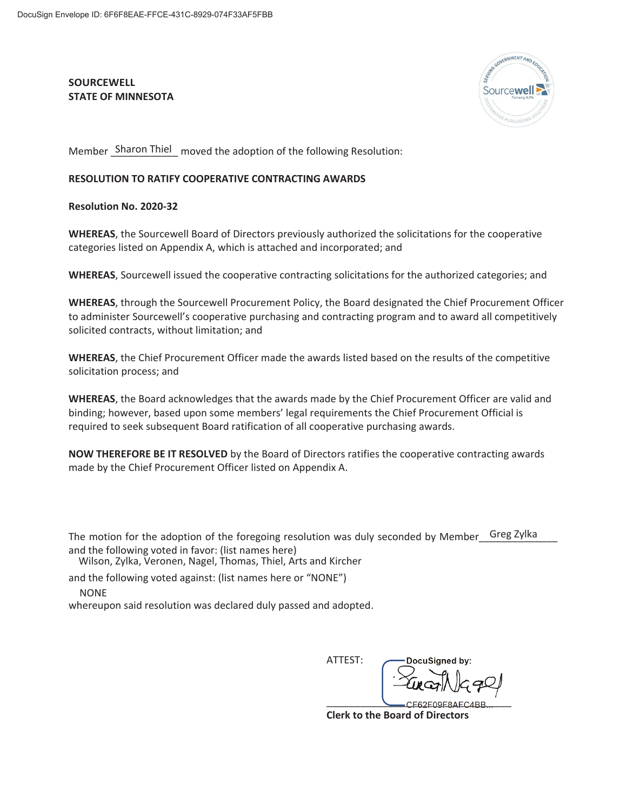## **SOURCEWELL STATE OF MINNESOTA**



Member Sharon Thiel moved the adoption of the following Resolution:

## **RESOLUTION TO RATIFY COOPERATIVE CONTRACTING AWARDS**

**Resolution No. 2020-32** 

**WHEREAS**, the Sourcewell Board of Directors previously authorized the solicitations for the cooperative categories listed on Appendix A, which is attached and incorporated; and

**WHEREAS**, Sourcewell issued the cooperative contracting solicitations for the authorized categories; and

**WHEREAS**, through the Sourcewell Procurement Policy, the Board designated the Chief Procurement Officer to administer Sourcewell's cooperative purchasing and contracting program and to award all competitively solicited contracts, without limitation; and

**WHEREAS**, the Chief Procurement Officer made the awards listed based on the results of the competitive solicitation process; and

**WHEREAS**, the Board acknowledges that the awards made by the Chief Procurement Officer are valid and binding; however, based upon some members' legal requirements the Chief Procurement Official is required to seek subsequent Board ratification of all cooperative purchasing awards.

**NOW THEREFORE BE IT RESOLVED** by the Board of Directors ratifies the cooperative contracting awards made by the Chief Procurement Officer listed on Appendix A.

The motion for the adoption of the foregoing resolution was duly seconded by Member\_\_Greg Zylka and the following voted in favor: (list names here)

Wilson, Zylka, Veronen, Nagel, Thomas, Thiel, Arts and Kircher

and the following voted against: (list names here or "NONE")

**NONE** 

whereupon said resolution was declared duly passed and adopted.

ATTEST:

DocuSianed by:  $CFG2F09F8AFC4BB$ 

**Clerk to the Board of Directors**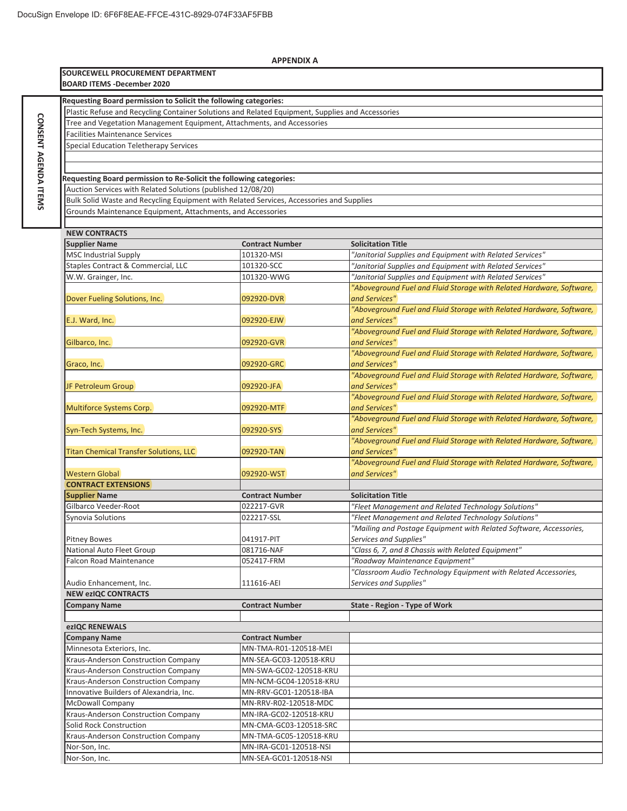**CONSENT**

**AGENDA CONSENT AGENDA ITEMS** 

|                                                                                                  | <b>APPENDIX A</b>      |                                                                      |  |  |  |
|--------------------------------------------------------------------------------------------------|------------------------|----------------------------------------------------------------------|--|--|--|
| SOURCEWELL PROCUREMENT DEPARTMENT                                                                |                        |                                                                      |  |  |  |
| <b>BOARD ITEMS -December 2020</b>                                                                |                        |                                                                      |  |  |  |
|                                                                                                  |                        |                                                                      |  |  |  |
| Requesting Board permission to Solicit the following categories:                                 |                        |                                                                      |  |  |  |
| Plastic Refuse and Recycling Container Solutions and Related Equipment, Supplies and Accessories |                        |                                                                      |  |  |  |
| Tree and Vegetation Management Equipment, Attachments, and Accessories                           |                        |                                                                      |  |  |  |
| <b>Facilities Maintenance Services</b>                                                           |                        |                                                                      |  |  |  |
| Special Education Teletherapy Services                                                           |                        |                                                                      |  |  |  |
|                                                                                                  |                        |                                                                      |  |  |  |
|                                                                                                  |                        |                                                                      |  |  |  |
| Requesting Board permission to Re-Solicit the following categories:                              |                        |                                                                      |  |  |  |
| Auction Services with Related Solutions (published 12/08/20)                                     |                        |                                                                      |  |  |  |
| Bulk Solid Waste and Recycling Equipment with Related Services, Accessories and Supplies         |                        |                                                                      |  |  |  |
| Grounds Maintenance Equipment, Attachments, and Accessories                                      |                        |                                                                      |  |  |  |
|                                                                                                  |                        |                                                                      |  |  |  |
| <b>NEW CONTRACTS</b>                                                                             |                        |                                                                      |  |  |  |
| <b>Supplier Name</b>                                                                             | <b>Contract Number</b> | <b>Solicitation Title</b>                                            |  |  |  |
| <b>MSC Industrial Supply</b>                                                                     | 101320-MSI             | "Janitorial Supplies and Equipment with Related Services"            |  |  |  |
| Staples Contract & Commercial, LLC                                                               | 101320-SCC             | "Janitorial Supplies and Equipment with Related Services"            |  |  |  |
| W.W. Grainger, Inc.                                                                              | 101320-WWG             | "Janitorial Supplies and Equipment with Related Services"            |  |  |  |
|                                                                                                  |                        | "Aboveground Fuel and Fluid Storage with Related Hardware, Software, |  |  |  |
| Dover Fueling Solutions, Inc.                                                                    | 092920-DVR             | and Services"                                                        |  |  |  |
|                                                                                                  |                        | "Aboveground Fuel and Fluid Storage with Related Hardware, Software, |  |  |  |
| E.J. Ward, Inc.                                                                                  | 092920-EJW             | and Services"                                                        |  |  |  |
|                                                                                                  |                        | "Aboveground Fuel and Fluid Storage with Related Hardware, Software, |  |  |  |
| Gilbarco, Inc.                                                                                   | 092920-GVR             | and Services"                                                        |  |  |  |
|                                                                                                  |                        | "Aboveground Fuel and Fluid Storage with Related Hardware, Software, |  |  |  |
|                                                                                                  | 092920-GRC             | and Services"                                                        |  |  |  |
| Graco, Inc.                                                                                      |                        | "Aboveground Fuel and Fluid Storage with Related Hardware, Software, |  |  |  |
|                                                                                                  |                        |                                                                      |  |  |  |
| JF Petroleum Group                                                                               | 092920-JFA             | and Services"                                                        |  |  |  |
|                                                                                                  |                        | "Aboveground Fuel and Fluid Storage with Related Hardware, Software, |  |  |  |
| Multiforce Systems Corp.                                                                         | 092920-MTF             | and Services"                                                        |  |  |  |
|                                                                                                  |                        | "Aboveground Fuel and Fluid Storage with Related Hardware, Software, |  |  |  |
| Syn-Tech Systems, Inc.                                                                           | 092920-SYS             | and Services"                                                        |  |  |  |
|                                                                                                  |                        | "Aboveground Fuel and Fluid Storage with Related Hardware, Software, |  |  |  |
| <b>Titan Chemical Transfer Solutions, LLC</b>                                                    | 092920-TAN             | and Services"                                                        |  |  |  |
|                                                                                                  |                        | "Aboveground Fuel and Fluid Storage with Related Hardware, Software, |  |  |  |
| <b>Western Global</b>                                                                            | 092920-WST             | and Services"                                                        |  |  |  |
| <b>CONTRACT EXTENSIONS</b>                                                                       |                        |                                                                      |  |  |  |
| <b>Supplier Name</b>                                                                             | <b>Contract Number</b> | <b>Solicitation Title</b>                                            |  |  |  |
| Gilbarco Veeder-Root                                                                             | 022217-GVR             | "Fleet Management and Related Technology Solutions"                  |  |  |  |
| Synovia Solutions                                                                                | 022217-SSL             | "Fleet Management and Related Technology Solutions"                  |  |  |  |
|                                                                                                  |                        | "Mailing and Postage Equipment with Related Software, Accessories,   |  |  |  |
| <b>Pitney Bowes</b>                                                                              | 041917-PIT             | Services and Supplies"                                               |  |  |  |
| National Auto Fleet Group                                                                        | 081716-NAF             | "Class 6, 7, and 8 Chassis with Related Equipment"                   |  |  |  |
| <b>Falcon Road Maintenance</b>                                                                   | 052417-FRM             | "Roadway Maintenance Equipment"                                      |  |  |  |
|                                                                                                  |                        | "Classroom Audio Technology Equipment with Related Accessories,      |  |  |  |
| Audio Enhancement, Inc.                                                                          | 111616-AEI             | Services and Supplies"                                               |  |  |  |
| <b>NEW ezIQC CONTRACTS</b>                                                                       |                        |                                                                      |  |  |  |
| <b>Company Name</b>                                                                              | <b>Contract Number</b> | State - Region - Type of Work                                        |  |  |  |
|                                                                                                  |                        |                                                                      |  |  |  |
| ezIQC RENEWALS                                                                                   |                        |                                                                      |  |  |  |
| <b>Company Name</b>                                                                              | <b>Contract Number</b> |                                                                      |  |  |  |
| Minnesota Exteriors, Inc.                                                                        | MN-TMA-R01-120518-MEI  |                                                                      |  |  |  |
| Kraus-Anderson Construction Company                                                              | MN-SEA-GC03-120518-KRU |                                                                      |  |  |  |
| Kraus-Anderson Construction Company                                                              | MN-SWA-GC02-120518-KRU |                                                                      |  |  |  |
| Kraus-Anderson Construction Company                                                              | MN-NCM-GC04-120518-KRU |                                                                      |  |  |  |
| Innovative Builders of Alexandria, Inc.                                                          | MN-RRV-GC01-120518-IBA |                                                                      |  |  |  |
| <b>McDowall Company</b>                                                                          | MN-RRV-R02-120518-MDC  |                                                                      |  |  |  |
| Kraus-Anderson Construction Company                                                              | MN-IRA-GC02-120518-KRU |                                                                      |  |  |  |
| Solid Rock Construction                                                                          | MN-CMA-GC03-120518-SRC |                                                                      |  |  |  |
| Kraus-Anderson Construction Company                                                              | MN-TMA-GC05-120518-KRU |                                                                      |  |  |  |
|                                                                                                  |                        |                                                                      |  |  |  |
| Nor-Son, Inc.                                                                                    | MN-IRA-GC01-120518-NSI |                                                                      |  |  |  |
| Nor-Son, Inc.                                                                                    | MN-SEA-GC01-120518-NSI |                                                                      |  |  |  |